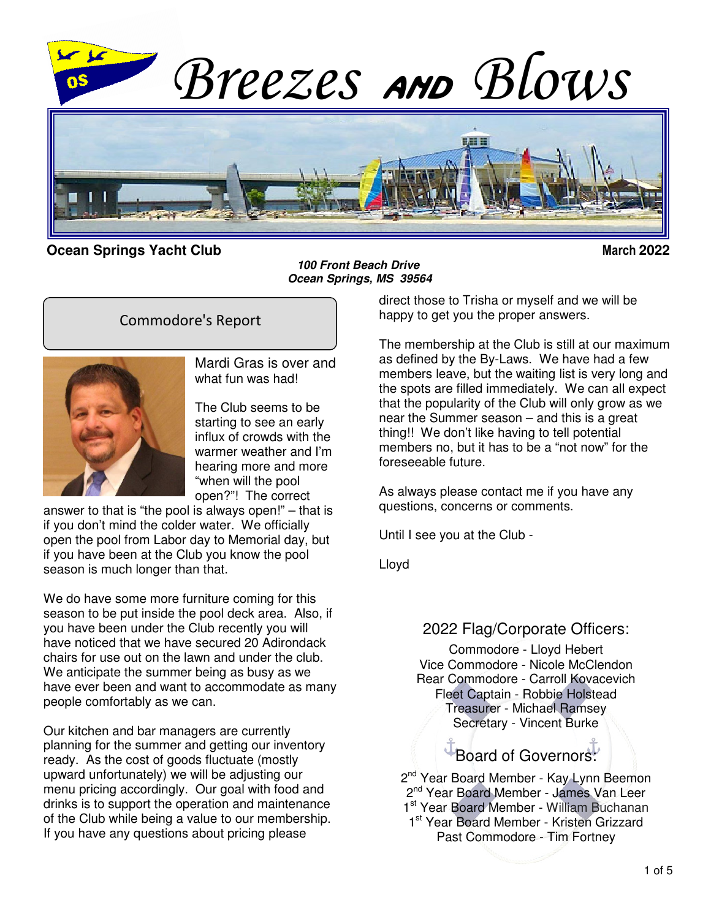

#### **Ocean Springs Yacht Club March 2022**

**100 Front Beach Drive Ocean Springs, MS 39564**

### Commodore's Report



Mardi Gras is over and what fun was had!

The Club seems to be starting to see an early influx of crowds with the warmer weather and I'm hearing more and more "when will the pool open?"! The correct

answer to that is "the pool is always open!" – that is if you don't mind the colder water. We officially open the pool from Labor day to Memorial day, but if you have been at the Club you know the pool season is much longer than that.

We do have some more furniture coming for this season to be put inside the pool deck area. Also, if you have been under the Club recently you will have noticed that we have secured 20 Adirondack chairs for use out on the lawn and under the club. We anticipate the summer being as busy as we have ever been and want to accommodate as many people comfortably as we can.

Our kitchen and bar managers are currently planning for the summer and getting our inventory ready. As the cost of goods fluctuate (mostly upward unfortunately) we will be adjusting our menu pricing accordingly. Our goal with food and drinks is to support the operation and maintenance of the Club while being a value to our membership. If you have any questions about pricing please

direct those to Trisha or myself and we will be happy to get you the proper answers.

The membership at the Club is still at our maximum as defined by the By-Laws. We have had a few members leave, but the waiting list is very long and the spots are filled immediately. We can all expect that the popularity of the Club will only grow as we near the Summer season – and this is a great thing!! We don't like having to tell potential members no, but it has to be a "not now" for the foreseeable future.

As always please contact me if you have any questions, concerns or comments.

Until I see you at the Club -

Lloyd

### 2022 Flag/Corporate Officers:

Commodore - Lloyd Hebert Vice Commodore - Nicole McClendon Rear Commodore - Carroll Kovacevich Fleet Captain - Robbie Holstead Treasurer - Michael Ramsey Secretary - Vincent Burke

Board of Governors:

2<sup>nd</sup> Year Board Member - Kay Lynn Beemon 2<sup>nd</sup> Year Board Member - James Van Leer 1st Year Board Member - William Buchanan 1<sup>st</sup> Year Board Member - Kristen Grizzard Past Commodore - Tim Fortney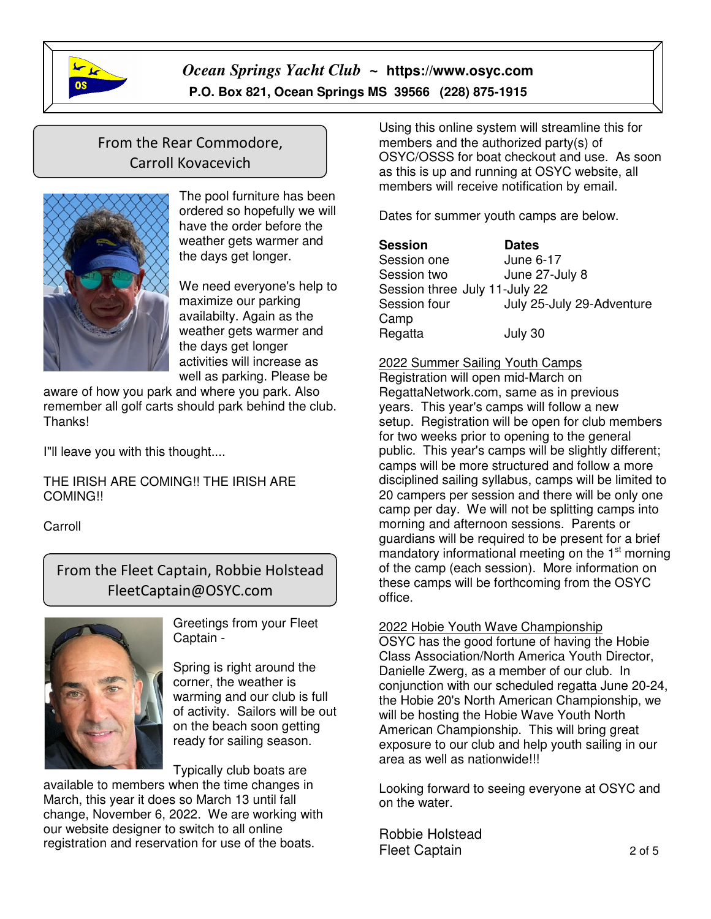

# From the Rear Commodore, Carroll Kovacevich



The pool furniture has been ordered so hopefully we will have the order before the weather gets warmer and the days get longer.

We need everyone's help to maximize our parking availabilty. Again as the weather gets warmer and the days get longer activities will increase as well as parking. Please be

aware of how you park and where you park. Also remember all golf carts should park behind the club. Thanks!

I"ll leave you with this thought....

THE IRISH ARE COMING!! THE IRISH ARE COMING!!

Carroll

 $\overline{1}$ 

From the Fleet Captain, Robbie Holstead FleetCaptain@OSYC.com



Greetings from your Fleet Captain -

Spring is right around the corner, the weather is warming and our club is full of activity. Sailors will be out on the beach soon getting ready for sailing season.

Typically club boats are

available to members when the time changes in March, this year it does so March 13 until fall change, November 6, 2022. We are working with our website designer to switch to all online registration and reservation for use of the boats.

Using this online system will streamline this for members and the authorized party(s) of OSYC/OSSS for boat checkout and use. As soon as this is up and running at OSYC website, all members will receive notification by email.

Dates for summer youth camps are below.

| <b>Session</b>                | <b>Dates</b>              |
|-------------------------------|---------------------------|
| Session one                   | June 6-17                 |
| Session two                   | June 27-July 8            |
| Session three July 11-July 22 |                           |
| Session four                  | July 25-July 29-Adventure |
| Camp                          |                           |
| Regatta                       | July 30                   |

2022 Summer Sailing Youth Camps

Registration will open mid-March on RegattaNetwork.com, same as in previous years. This year's camps will follow a new setup. Registration will be open for club members for two weeks prior to opening to the general public. This year's camps will be slightly different; camps will be more structured and follow a more disciplined sailing syllabus, camps will be limited to 20 campers per session and there will be only one camp per day. We will not be splitting camps into morning and afternoon sessions. Parents or guardians will be required to be present for a brief mandatory informational meeting on the 1<sup>st</sup> morning of the camp (each session). More information on these camps will be forthcoming from the OSYC office.

2022 Hobie Youth Wave Championship

OSYC has the good fortune of having the Hobie Class Association/North America Youth Director, Danielle Zwerg, as a member of our club. In conjunction with our scheduled regatta June 20-24, the Hobie 20's North American Championship, we will be hosting the Hobie Wave Youth North American Championship. This will bring great exposure to our club and help youth sailing in our area as well as nationwide!!!

Looking forward to seeing everyone at OSYC and on the water.

Robbie Holstead Fleet Captain 2 of 5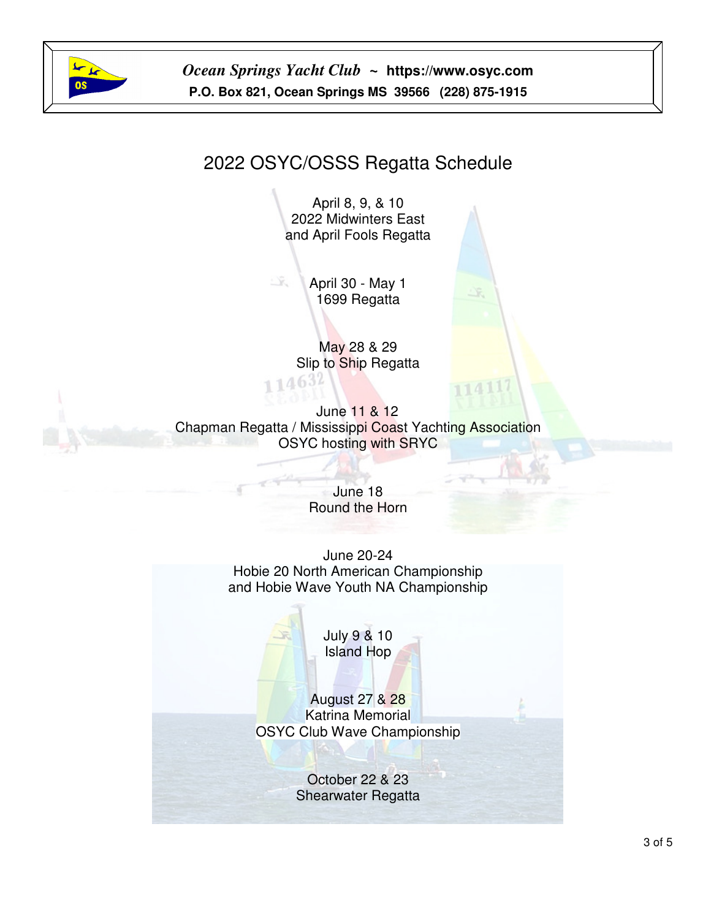

# 2022 OSYC/OSSS Regatta Schedule

April 8, 9, & 10 2022 Midwinters East and April Fools Regatta

 $\tilde{\chi}$  . April 30 - May 1 1699 Regatta

> May 28 & 29 Slip to Ship Regatta

June 11 & 12 Chapman Regatta / Mississippi Coast Yachting Association OSYC hosting with SRYC

> June 18 Round the Horn

June 20-24 Hobie 20 North American Championship and Hobie Wave Youth NA Championship

> July 9 & 10 Island Hop

August 27 & 28 Katrina Memorial OSYC Club Wave Championship

> October 22 & 23 Shearwater Regatta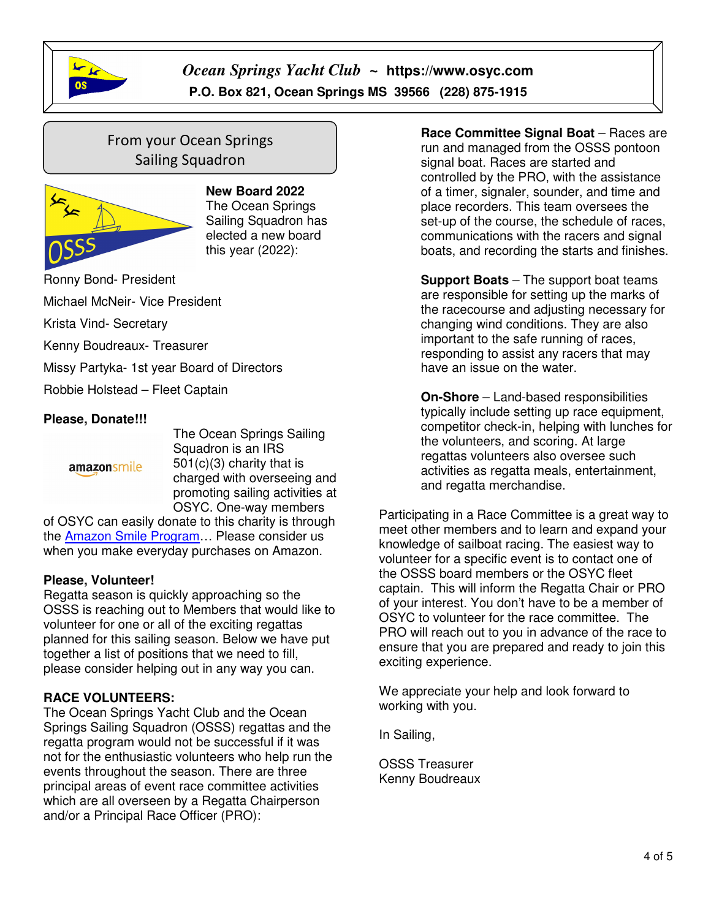

# From your Ocean Springs Sailing Squadron



**New Board 2022**  The Ocean Springs Sailing Squadron has elected a new board this year (2022):

Ronny Bond- President

Michael McNeir- Vice President

Krista Vind- Secretary

Kenny Boudreaux- Treasurer

Missy Partyka- 1st year Board of Directors

Robbie Holstead – Fleet Captain

#### **Please, Donate!!!**

amazonsmile

The Ocean Springs Sailing Squadron is an IRS 501(c)(3) charity that is charged with overseeing and promoting sailing activities at OSYC. One-way members

of OSYC can easily donate to this charity is through the Amazon Smile Program… Please consider us when you make everyday purchases on Amazon.

#### **Please, Volunteer!**

Regatta season is quickly approaching so the OSSS is reaching out to Members that would like to volunteer for one or all of the exciting regattas planned for this sailing season. Below we have put together a list of positions that we need to fill, please consider helping out in any way you can.

#### **RACE VOLUNTEERS:**

The Ocean Springs Yacht Club and the Ocean Springs Sailing Squadron (OSSS) regattas and the regatta program would not be successful if it was not for the enthusiastic volunteers who help run the events throughout the season. There are three principal areas of event race committee activities which are all overseen by a Regatta Chairperson and/or a Principal Race Officer (PRO):

 **Race Committee Signal Boat** – Races are run and managed from the OSSS pontoon signal boat. Races are started and controlled by the PRO, with the assistance of a timer, signaler, sounder, and time and place recorders. This team oversees the set-up of the course, the schedule of races, communications with the racers and signal boats, and recording the starts and finishes.

 **Support Boats** – The support boat teams are responsible for setting up the marks of the racecourse and adjusting necessary for changing wind conditions. They are also important to the safe running of races, responding to assist any racers that may have an issue on the water.

 **On-Shore** – Land-based responsibilities typically include setting up race equipment, competitor check-in, helping with lunches for the volunteers, and scoring. At large regattas volunteers also oversee such activities as regatta meals, entertainment, and regatta merchandise.

Participating in a Race Committee is a great way to meet other members and to learn and expand your knowledge of sailboat racing. The easiest way to volunteer for a specific event is to contact one of the OSSS board members or the OSYC fleet captain. This will inform the Regatta Chair or PRO of your interest. You don't have to be a member of OSYC to volunteer for the race committee. The PRO will reach out to you in advance of the race to ensure that you are prepared and ready to join this exciting experience.

We appreciate your help and look forward to working with you.

In Sailing,

OSSS Treasurer Kenny Boudreaux